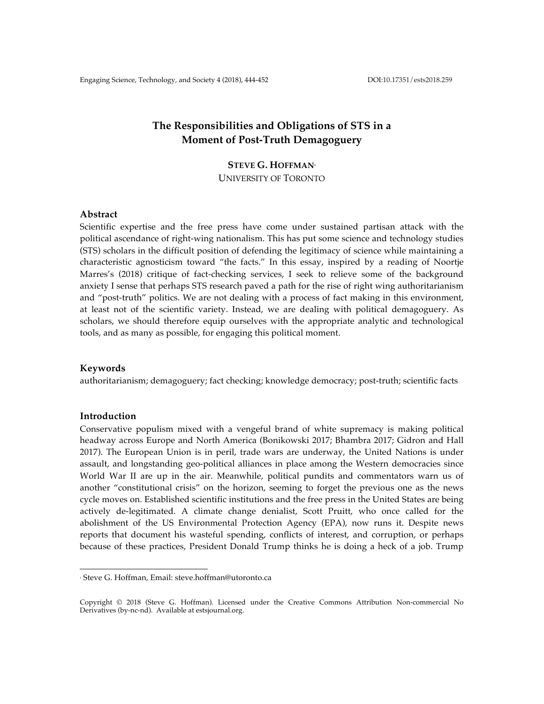# **The Responsibilities and Obligations of STS in a Moment of Post-Truth Demagoguery**

# **STEVE G. HOFFMAN1**

UNIVERSITY OF TORONTO

# **Abstract**

Scientific expertise and the free press have come under sustained partisan attack with the political ascendance of right-wing nationalism. This has put some science and technology studies (STS) scholars in the difficult position of defending the legitimacy of science while maintaining a characteristic agnosticism toward "the facts." In this essay, inspired by a reading of Noortje Marres's (2018) critique of fact-checking services, I seek to relieve some of the background anxiety I sense that perhaps STS research paved a path for the rise of right wing authoritarianism and "post-truth" politics. We are not dealing with a process of fact making in this environment, at least not of the scientific variety. Instead, we are dealing with political demagoguery. As scholars, we should therefore equip ourselves with the appropriate analytic and technological tools, and as many as possible, for engaging this political moment.

## **Keywords**

authoritarianism; demagoguery; fact checking; knowledge democracy; post-truth; scientific facts

## **Introduction**

Conservative populism mixed with a vengeful brand of white supremacy is making political headway across Europe and North America (Bonikowski 2017; Bhambra 2017; Gidron and Hall 2017). The European Union is in peril, trade wars are underway, the United Nations is under assault, and longstanding geo-political alliances in place among the Western democracies since World War II are up in the air. Meanwhile, political pundits and commentators warn us of another "constitutional crisis" on the horizon, seeming to forget the previous one as the news cycle moves on. Established scientific institutions and the free press in the United States are being actively de-legitimated. A climate change denialist, Scott Pruitt, who once called for the abolishment of the US Environmental Protection Agency (EPA), now runs it. Despite news reports that document his wasteful spending, conflicts of interest, and corruption, or perhaps because of these practices, President Donald Trump thinks he is doing a heck of a job. Trump

 

<sup>1</sup> Steve G. Hoffman, Email: steve.hoffman@utoronto.ca

Copyright © 2018 (Steve G. Hoffman). Licensed under the Creative Commons Attribution Non-commercial No Derivatives (by-nc-nd). Available at estsjournal.org.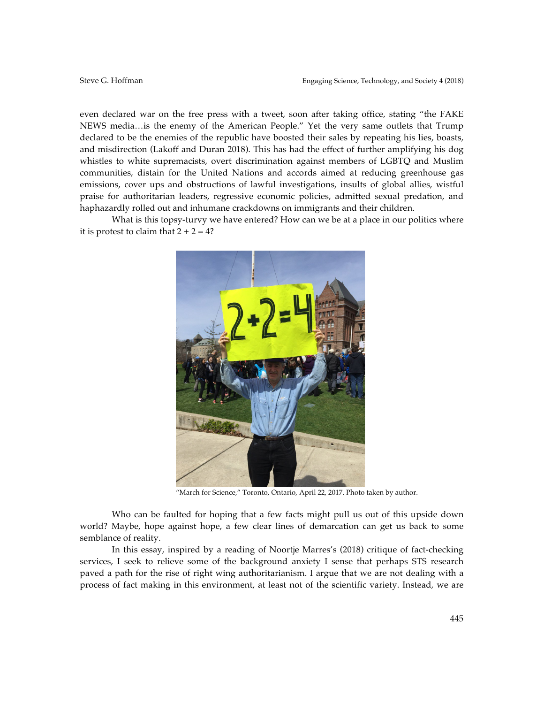even declared war on the free press with a tweet, soon after taking office, stating "the FAKE NEWS media…is the enemy of the American People." Yet the very same outlets that Trump declared to be the enemies of the republic have boosted their sales by repeating his lies, boasts, and misdirection (Lakoff and Duran 2018). This has had the effect of further amplifying his dog whistles to white supremacists, overt discrimination against members of LGBTQ and Muslim communities, distain for the United Nations and accords aimed at reducing greenhouse gas emissions, cover ups and obstructions of lawful investigations, insults of global allies, wistful praise for authoritarian leaders, regressive economic policies, admitted sexual predation, and haphazardly rolled out and inhumane crackdowns on immigrants and their children.

What is this topsy-turvy we have entered? How can we be at a place in our politics where it is protest to claim that  $2 + 2 = 4$ ?



"March for Science," Toronto, Ontario, April 22, 2017. Photo taken by author.

Who can be faulted for hoping that a few facts might pull us out of this upside down world? Maybe, hope against hope, a few clear lines of demarcation can get us back to some semblance of reality.

In this essay, inspired by a reading of Noortje Marres's (2018) critique of fact-checking services, I seek to relieve some of the background anxiety I sense that perhaps STS research paved a path for the rise of right wing authoritarianism. I argue that we are not dealing with a process of fact making in this environment, at least not of the scientific variety. Instead, we are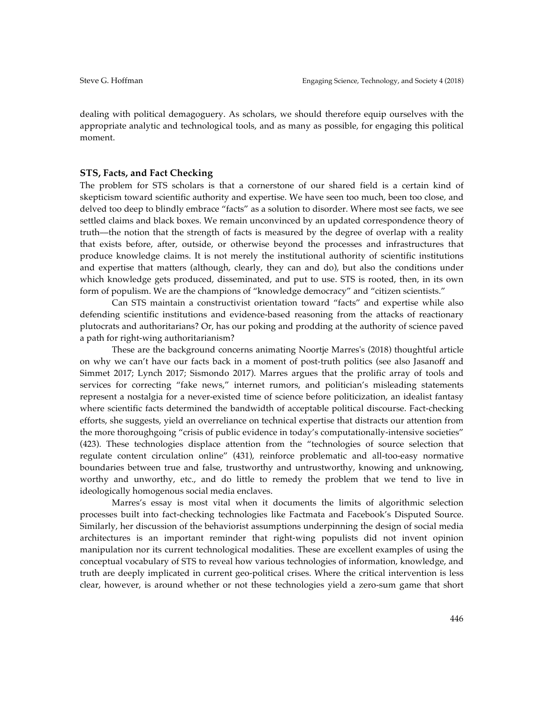dealing with political demagoguery. As scholars, we should therefore equip ourselves with the appropriate analytic and technological tools, and as many as possible, for engaging this political moment.

## **STS, Facts, and Fact Checking**

The problem for STS scholars is that a cornerstone of our shared field is a certain kind of skepticism toward scientific authority and expertise. We have seen too much, been too close, and delved too deep to blindly embrace "facts" as a solution to disorder. Where most see facts, we see settled claims and black boxes. We remain unconvinced by an updated correspondence theory of truth––the notion that the strength of facts is measured by the degree of overlap with a reality that exists before, after, outside, or otherwise beyond the processes and infrastructures that produce knowledge claims. It is not merely the institutional authority of scientific institutions and expertise that matters (although, clearly, they can and do), but also the conditions under which knowledge gets produced, disseminated, and put to use. STS is rooted, then, in its own form of populism. We are the champions of "knowledge democracy" and "citizen scientists."

Can STS maintain a constructivist orientation toward "facts" and expertise while also defending scientific institutions and evidence-based reasoning from the attacks of reactionary plutocrats and authoritarians? Or, has our poking and prodding at the authority of science paved a path for right-wing authoritarianism?

These are the background concerns animating Noortje Marres's (2018) thoughtful article on why we can't have our facts back in a moment of post-truth politics (see also Jasanoff and Simmet 2017; Lynch 2017; Sismondo 2017). Marres argues that the prolific array of tools and services for correcting "fake news," internet rumors, and politician's misleading statements represent a nostalgia for a never-existed time of science before politicization, an idealist fantasy where scientific facts determined the bandwidth of acceptable political discourse. Fact-checking efforts, she suggests, yield an overreliance on technical expertise that distracts our attention from the more thoroughgoing "crisis of public evidence in today's computationally-intensive societies" (423). These technologies displace attention from the "technologies of source selection that regulate content circulation online" (431), reinforce problematic and all-too-easy normative boundaries between true and false, trustworthy and untrustworthy, knowing and unknowing, worthy and unworthy, etc., and do little to remedy the problem that we tend to live in ideologically homogenous social media enclaves.

Marres's essay is most vital when it documents the limits of algorithmic selection processes built into fact-checking technologies like Factmata and Facebook's Disputed Source. Similarly, her discussion of the behaviorist assumptions underpinning the design of social media architectures is an important reminder that right-wing populists did not invent opinion manipulation nor its current technological modalities. These are excellent examples of using the conceptual vocabulary of STS to reveal how various technologies of information, knowledge, and truth are deeply implicated in current geo-political crises. Where the critical intervention is less clear, however, is around whether or not these technologies yield a zero-sum game that short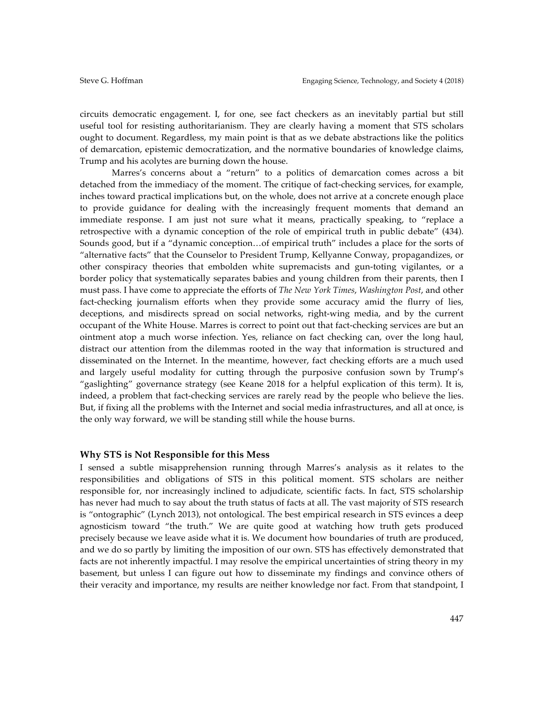circuits democratic engagement. I, for one, see fact checkers as an inevitably partial but still useful tool for resisting authoritarianism. They are clearly having a moment that STS scholars ought to document. Regardless, my main point is that as we debate abstractions like the politics of demarcation, epistemic democratization, and the normative boundaries of knowledge claims, Trump and his acolytes are burning down the house.

Marres's concerns about a "return" to a politics of demarcation comes across a bit detached from the immediacy of the moment. The critique of fact-checking services, for example, inches toward practical implications but, on the whole, does not arrive at a concrete enough place to provide guidance for dealing with the increasingly frequent moments that demand an immediate response. I am just not sure what it means, practically speaking, to "replace a retrospective with a dynamic conception of the role of empirical truth in public debate" (434). Sounds good, but if a "dynamic conception…of empirical truth" includes a place for the sorts of "alternative facts" that the Counselor to President Trump, Kellyanne Conway, propagandizes, or other conspiracy theories that embolden white supremacists and gun-toting vigilantes, or a border policy that systematically separates babies and young children from their parents, then I must pass. I have come to appreciate the efforts of *The New York Times*, *Washington Post*, and other fact-checking journalism efforts when they provide some accuracy amid the flurry of lies, deceptions, and misdirects spread on social networks, right-wing media, and by the current occupant of the White House. Marres is correct to point out that fact-checking services are but an ointment atop a much worse infection. Yes, reliance on fact checking can, over the long haul, distract our attention from the dilemmas rooted in the way that information is structured and disseminated on the Internet. In the meantime, however, fact checking efforts are a much used and largely useful modality for cutting through the purposive confusion sown by Trump's "gaslighting" governance strategy (see Keane 2018 for a helpful explication of this term). It is, indeed, a problem that fact-checking services are rarely read by the people who believe the lies. But, if fixing all the problems with the Internet and social media infrastructures, and all at once, is the only way forward, we will be standing still while the house burns.

### **Why STS is Not Responsible for this Mess**

I sensed a subtle misapprehension running through Marres's analysis as it relates to the responsibilities and obligations of STS in this political moment. STS scholars are neither responsible for, nor increasingly inclined to adjudicate, scientific facts. In fact, STS scholarship has never had much to say about the truth status of facts at all. The vast majority of STS research is "ontographic" (Lynch 2013), not ontological. The best empirical research in STS evinces a deep agnosticism toward "the truth." We are quite good at watching how truth gets produced precisely because we leave aside what it is. We document how boundaries of truth are produced, and we do so partly by limiting the imposition of our own. STS has effectively demonstrated that facts are not inherently impactful. I may resolve the empirical uncertainties of string theory in my basement, but unless I can figure out how to disseminate my findings and convince others of their veracity and importance, my results are neither knowledge nor fact. From that standpoint, I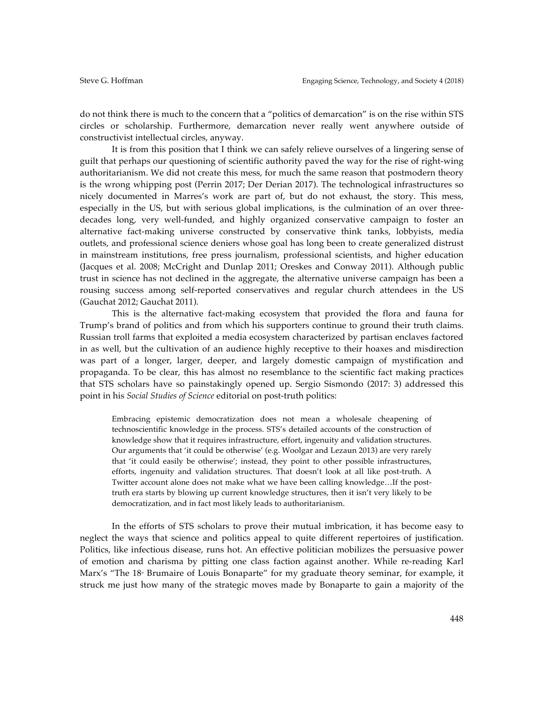do not think there is much to the concern that a "politics of demarcation" is on the rise within STS circles or scholarship. Furthermore, demarcation never really went anywhere outside of constructivist intellectual circles, anyway.

It is from this position that I think we can safely relieve ourselves of a lingering sense of guilt that perhaps our questioning of scientific authority paved the way for the rise of right-wing authoritarianism. We did not create this mess, for much the same reason that postmodern theory is the wrong whipping post (Perrin 2017; Der Derian 2017). The technological infrastructures so nicely documented in Marres's work are part of, but do not exhaust, the story. This mess, especially in the US, but with serious global implications, is the culmination of an over threedecades long, very well-funded, and highly organized conservative campaign to foster an alternative fact-making universe constructed by conservative think tanks, lobbyists, media outlets, and professional science deniers whose goal has long been to create generalized distrust in mainstream institutions, free press journalism, professional scientists, and higher education (Jacques et al. 2008; McCright and Dunlap 2011; Oreskes and Conway 2011). Although public trust in science has not declined in the aggregate, the alternative universe campaign has been a rousing success among self-reported conservatives and regular church attendees in the US (Gauchat 2012; Gauchat 2011).

This is the alternative fact-making ecosystem that provided the flora and fauna for Trump's brand of politics and from which his supporters continue to ground their truth claims. Russian troll farms that exploited a media ecosystem characterized by partisan enclaves factored in as well, but the cultivation of an audience highly receptive to their hoaxes and misdirection was part of a longer, larger, deeper, and largely domestic campaign of mystification and propaganda. To be clear, this has almost no resemblance to the scientific fact making practices that STS scholars have so painstakingly opened up. Sergio Sismondo (2017: 3) addressed this point in his *Social Studies of Science* editorial on post-truth politics:

Embracing epistemic democratization does not mean a wholesale cheapening of technoscientific knowledge in the process. STS's detailed accounts of the construction of knowledge show that it requires infrastructure, effort, ingenuity and validation structures. Our arguments that 'it could be otherwise' (e.g. Woolgar and Lezaun 2013) are very rarely that 'it could easily be otherwise'; instead, they point to other possible infrastructures, efforts, ingenuity and validation structures. That doesn't look at all like post-truth. A Twitter account alone does not make what we have been calling knowledge…If the posttruth era starts by blowing up current knowledge structures, then it isn't very likely to be democratization, and in fact most likely leads to authoritarianism.

In the efforts of STS scholars to prove their mutual imbrication, it has become easy to neglect the ways that science and politics appeal to quite different repertoires of justification. Politics, like infectious disease, runs hot. An effective politician mobilizes the persuasive power of emotion and charisma by pitting one class faction against another. While re-reading Karl Marx's "The 18<sup>\*</sup> Brumaire of Louis Bonaparte" for my graduate theory seminar, for example, it struck me just how many of the strategic moves made by Bonaparte to gain a majority of the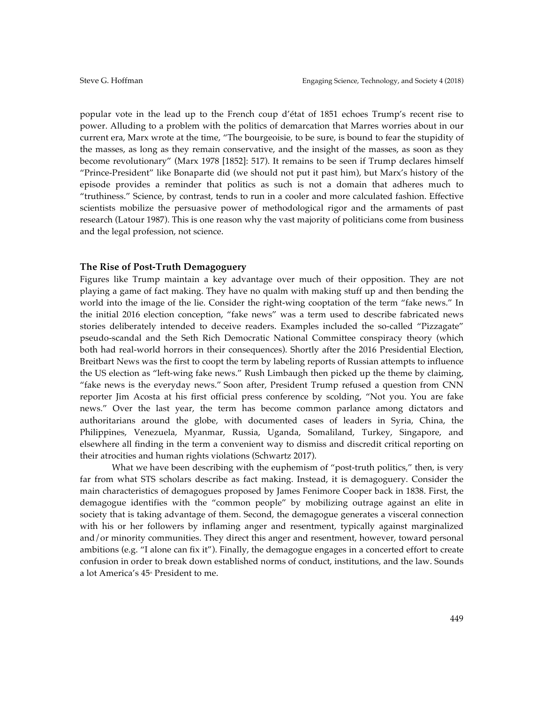popular vote in the lead up to the French coup d'état of 1851 echoes Trump's recent rise to power. Alluding to a problem with the politics of demarcation that Marres worries about in our current era, Marx wrote at the time, "The bourgeoisie, to be sure, is bound to fear the stupidity of the masses, as long as they remain conservative, and the insight of the masses, as soon as they become revolutionary" (Marx 1978 [1852]: 517). It remains to be seen if Trump declares himself "Prince-President" like Bonaparte did (we should not put it past him), but Marx's history of the episode provides a reminder that politics as such is not a domain that adheres much to "truthiness." Science, by contrast, tends to run in a cooler and more calculated fashion. Effective scientists mobilize the persuasive power of methodological rigor and the armaments of past research (Latour 1987). This is one reason why the vast majority of politicians come from business and the legal profession, not science.

## **The Rise of Post-Truth Demagoguery**

Figures like Trump maintain a key advantage over much of their opposition. They are not playing a game of fact making. They have no qualm with making stuff up and then bending the world into the image of the lie. Consider the right-wing cooptation of the term "fake news." In the initial 2016 election conception, "fake news" was a term used to describe fabricated news stories deliberately intended to deceive readers. Examples included the so-called "Pizzagate" pseudo-scandal and the Seth Rich Democratic National Committee conspiracy theory (which both had real-world horrors in their consequences). Shortly after the 2016 Presidential Election, Breitbart News was the first to coopt the term by labeling reports of Russian attempts to influence the US election as "left-wing fake news." Rush Limbaugh then picked up the theme by claiming, "fake news is the everyday news." Soon after, President Trump refused a question from CNN reporter Jim Acosta at his first official press conference by scolding, "Not you. You are fake news." Over the last year, the term has become common parlance among dictators and authoritarians around the globe, with documented cases of leaders in Syria, China, the Philippines, Venezuela, Myanmar, Russia, Uganda, Somaliland, Turkey, Singapore, and elsewhere all finding in the term a convenient way to dismiss and discredit critical reporting on their atrocities and human rights violations (Schwartz 2017).

What we have been describing with the euphemism of "post-truth politics," then, is very far from what STS scholars describe as fact making. Instead, it is demagoguery. Consider the main characteristics of demagogues proposed by James Fenimore Cooper back in 1838. First, the demagogue identifies with the "common people" by mobilizing outrage against an elite in society that is taking advantage of them. Second, the demagogue generates a visceral connection with his or her followers by inflaming anger and resentment, typically against marginalized and/or minority communities. They direct this anger and resentment, however, toward personal ambitions (e.g. "I alone can fix it"). Finally, the demagogue engages in a concerted effort to create confusion in order to break down established norms of conduct, institutions, and the law. Sounds a lot America's 45<sup>th</sup> President to me.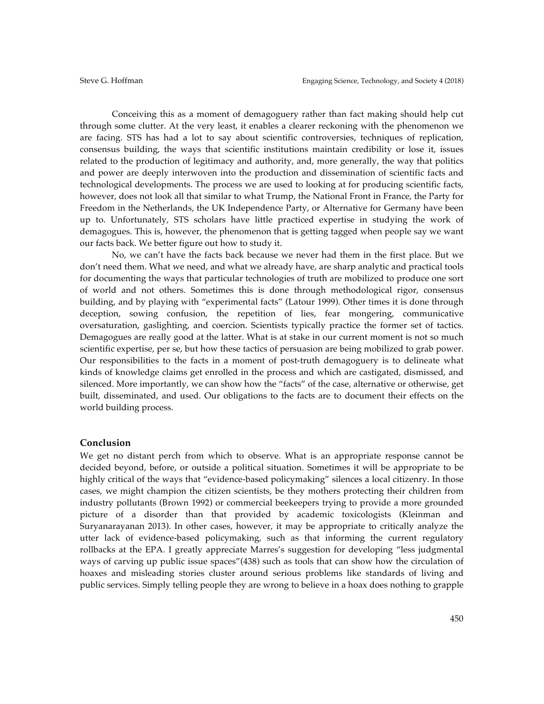Conceiving this as a moment of demagoguery rather than fact making should help cut through some clutter. At the very least, it enables a clearer reckoning with the phenomenon we are facing. STS has had a lot to say about scientific controversies, techniques of replication, consensus building, the ways that scientific institutions maintain credibility or lose it, issues related to the production of legitimacy and authority, and, more generally, the way that politics and power are deeply interwoven into the production and dissemination of scientific facts and technological developments. The process we are used to looking at for producing scientific facts, however, does not look all that similar to what Trump, the National Front in France, the Party for Freedom in the Netherlands, the UK Independence Party, or Alternative for Germany have been up to. Unfortunately, STS scholars have little practiced expertise in studying the work of demagogues. This is, however, the phenomenon that is getting tagged when people say we want our facts back. We better figure out how to study it.

No, we can't have the facts back because we never had them in the first place. But we don't need them. What we need, and what we already have, are sharp analytic and practical tools for documenting the ways that particular technologies of truth are mobilized to produce one sort of world and not others. Sometimes this is done through methodological rigor, consensus building, and by playing with "experimental facts" (Latour 1999). Other times it is done through deception, sowing confusion, the repetition of lies, fear mongering, communicative oversaturation, gaslighting, and coercion. Scientists typically practice the former set of tactics. Demagogues are really good at the latter. What is at stake in our current moment is not so much scientific expertise, per se, but how these tactics of persuasion are being mobilized to grab power. Our responsibilities to the facts in a moment of post-truth demagoguery is to delineate what kinds of knowledge claims get enrolled in the process and which are castigated, dismissed, and silenced. More importantly, we can show how the "facts" of the case, alternative or otherwise, get built, disseminated, and used. Our obligations to the facts are to document their effects on the world building process.

### **Conclusion**

We get no distant perch from which to observe. What is an appropriate response cannot be decided beyond, before, or outside a political situation. Sometimes it will be appropriate to be highly critical of the ways that "evidence-based policymaking" silences a local citizenry. In those cases, we might champion the citizen scientists, be they mothers protecting their children from industry pollutants (Brown 1992) or commercial beekeepers trying to provide a more grounded picture of a disorder than that provided by academic toxicologists (Kleinman and Suryanarayanan 2013). In other cases, however, it may be appropriate to critically analyze the utter lack of evidence-based policymaking, such as that informing the current regulatory rollbacks at the EPA. I greatly appreciate Marres's suggestion for developing "less judgmental ways of carving up public issue spaces"(438) such as tools that can show how the circulation of hoaxes and misleading stories cluster around serious problems like standards of living and public services. Simply telling people they are wrong to believe in a hoax does nothing to grapple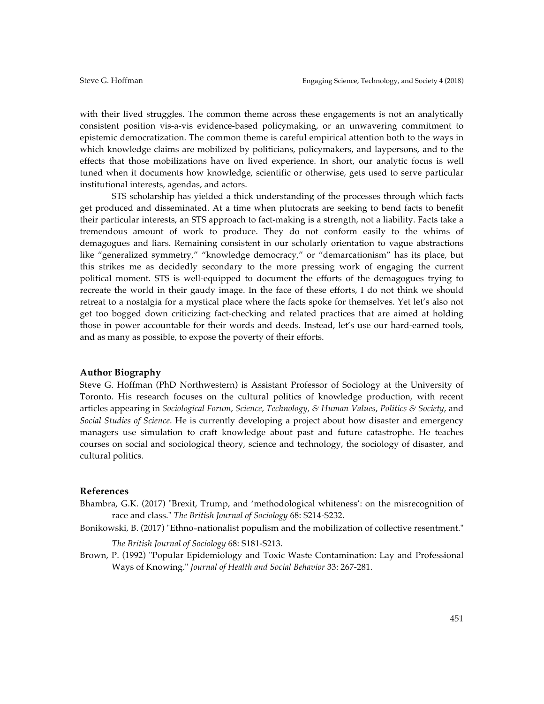with their lived struggles. The common theme across these engagements is not an analytically consistent position vis-a-vis evidence-based policymaking, or an unwavering commitment to epistemic democratization. The common theme is careful empirical attention both to the ways in which knowledge claims are mobilized by politicians, policymakers, and laypersons, and to the effects that those mobilizations have on lived experience. In short, our analytic focus is well tuned when it documents how knowledge, scientific or otherwise, gets used to serve particular institutional interests, agendas, and actors.

STS scholarship has yielded a thick understanding of the processes through which facts get produced and disseminated. At a time when plutocrats are seeking to bend facts to benefit their particular interests, an STS approach to fact-making is a strength, not a liability. Facts take a tremendous amount of work to produce. They do not conform easily to the whims of demagogues and liars. Remaining consistent in our scholarly orientation to vague abstractions like "generalized symmetry," "knowledge democracy," or "demarcationism" has its place, but this strikes me as decidedly secondary to the more pressing work of engaging the current political moment. STS is well-equipped to document the efforts of the demagogues trying to recreate the world in their gaudy image. In the face of these efforts, I do not think we should retreat to a nostalgia for a mystical place where the facts spoke for themselves. Yet let's also not get too bogged down criticizing fact-checking and related practices that are aimed at holding those in power accountable for their words and deeds. Instead, let's use our hard-earned tools, and as many as possible, to expose the poverty of their efforts.

#### **Author Biography**

Steve G. Hoffman (PhD Northwestern) is Assistant Professor of Sociology at the University of Toronto. His research focuses on the cultural politics of knowledge production, with recent articles appearing in *Sociological Forum*, *Science, Technology, & Human Values*, *Politics & Society*, and *Social Studies of Science*. He is currently developing a project about how disaster and emergency managers use simulation to craft knowledge about past and future catastrophe. He teaches courses on social and sociological theory, science and technology, the sociology of disaster, and cultural politics.

#### **References**

- Bhambra, G.K. (2017) "Brexit, Trump, and 'methodological whiteness': on the misrecognition of race and class." *The British Journal of Sociology* 68: S214-S232.
- Bonikowski, B. (2017) "Ethno-nationalist populism and the mobilization of collective resentment."

*The British Journal of Sociology* 68: S181-S213.

Brown, P. (1992) "Popular Epidemiology and Toxic Waste Contamination: Lay and Professional Ways of Knowing." *Journal of Health and Social Behavior* 33: 267-281.